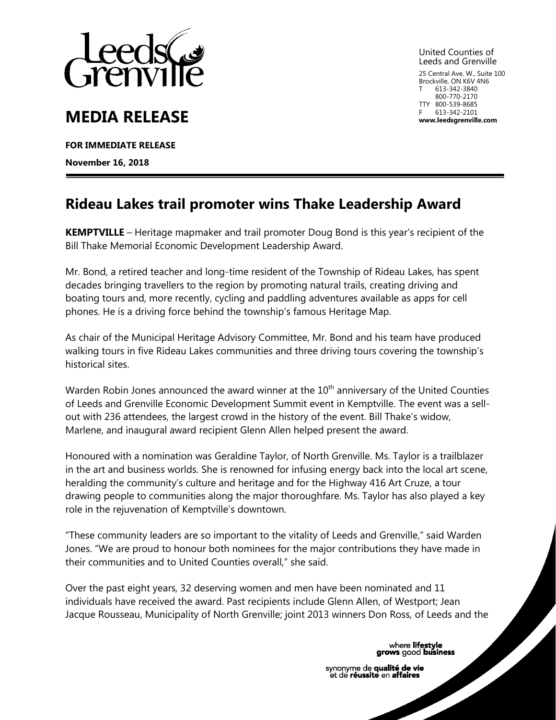

## **MEDIA RELEASE**

**FOR IMMEDIATE RELEASE** 

**November 16, 2018**

United Counties of Leeds and Grenville 25 Central Ave. W., Suite 100

Brockville, ON K6V 4N6 613-342-3840 800-770-2170 TTY 800-539-8685 613-342-2101 **www.leedsgrenville.com**

## **Rideau Lakes trail promoter wins Thake Leadership Award**

**KEMPTVILLE** – Heritage mapmaker and trail promoter Doug Bond is this year's recipient of the Bill Thake Memorial Economic Development Leadership Award.

Mr. Bond, a retired teacher and long-time resident of the Township of Rideau Lakes, has spent decades bringing travellers to the region by promoting natural trails, creating driving and boating tours and, more recently, cycling and paddling adventures available as apps for cell phones. He is a driving force behind the township's famous Heritage Map.

As chair of the Municipal Heritage Advisory Committee, Mr. Bond and his team have produced walking tours in five Rideau Lakes communities and three driving tours covering the township's historical sites.

Warden Robin Jones announced the award winner at the  $10<sup>th</sup>$  anniversary of the United Counties of Leeds and Grenville Economic Development Summit event in Kemptville. The event was a sellout with 236 attendees, the largest crowd in the history of the event. Bill Thake's widow, Marlene, and inaugural award recipient Glenn Allen helped present the award.

Honoured with a nomination was Geraldine Taylor, of North Grenville. Ms. Taylor is a trailblazer in the art and business worlds. She is renowned for infusing energy back into the local art scene, heralding the community's culture and heritage and for the Highway 416 Art Cruze, a tour drawing people to communities along the major thoroughfare. Ms. Taylor has also played a key role in the rejuvenation of Kemptville's downtown.

"These community leaders are so important to the vitality of Leeds and Grenville," said Warden Jones. "We are proud to honour both nominees for the major contributions they have made in their communities and to United Counties overall," she said.

Over the past eight years, 32 deserving women and men have been nominated and 11 individuals have received the award. Past recipients include Glenn Allen, of Westport; Jean Jacque Rousseau, Municipality of North Grenville; joint 2013 winners Don Ross, of Leeds and the

where lifestyle<br>grows good business

synonyme de qualité de vie et de réussite en affaires